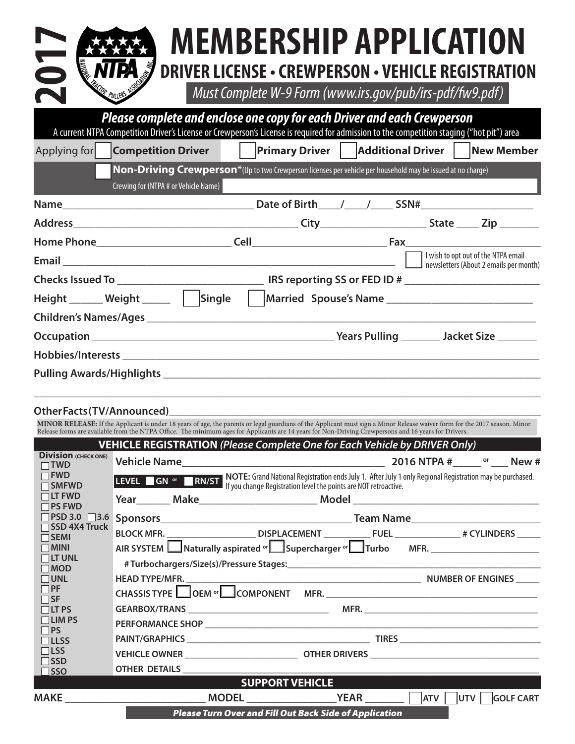| <b>ARRIA MEMBERSHIP APPLICATION</b>                              |
|------------------------------------------------------------------|
| <b>MTPA</b> J DRIVER LICENSE · CREWPERSON · VEHICLE REGISTRATION |

|                                                                                                      | <b>MEMBERSHIP APPLICATION</b>                                                                                                                                                                                         |  |
|------------------------------------------------------------------------------------------------------|-----------------------------------------------------------------------------------------------------------------------------------------------------------------------------------------------------------------------|--|
|                                                                                                      | <b>DRIVER LICENSE - CREWPERSON - VEHICLE REGISTRAT</b>                                                                                                                                                                |  |
| TOR PULLERS ASSO                                                                                     | Must Complete W-9 Form (www.irs.gov/pub/irs-pdf/fw9.pdf)                                                                                                                                                              |  |
|                                                                                                      | Please complete and enclose one copy for each Driver and each Crewperson<br>A current NTPA Competition Driver's License or Crewperson's License is required for admission to the competition staging ("hot pit") area |  |
| Applying for                                                                                         |                                                                                                                                                                                                                       |  |
| Crewing for (NTPA # or Vehicle Name)                                                                 | Non-Driving Crewperson <sup>*</sup> (Up to two Crewperson licenses per vehicle per household may be issued at no charge)                                                                                              |  |
|                                                                                                      |                                                                                                                                                                                                                       |  |
|                                                                                                      |                                                                                                                                                                                                                       |  |
|                                                                                                      |                                                                                                                                                                                                                       |  |
|                                                                                                      |                                                                                                                                                                                                                       |  |
|                                                                                                      |                                                                                                                                                                                                                       |  |
| Height _______ Weight _______    Single    Married Spouse's Name ___________________________________ |                                                                                                                                                                                                                       |  |
|                                                                                                      |                                                                                                                                                                                                                       |  |
|                                                                                                      |                                                                                                                                                                                                                       |  |
|                                                                                                      |                                                                                                                                                                                                                       |  |
|                                                                                                      |                                                                                                                                                                                                                       |  |
| OtherFacts(TV/Announced)                                                                             |                                                                                                                                                                                                                       |  |

MINOR RELEASE: If the Applicant is under 18 years of age, the parents or legal guardians of the Applicant must sign a Minor Release waiver form for the 2017 season. Minor<br>Release forms are available from the NTPA Office. T

|                                           | <b>VEHICLE REGISTRATION (Please Complete One for Each Vehicle by DRIVER Only)</b>                                                                                                                                                   |                        |                                                               |  |  |  |
|-------------------------------------------|-------------------------------------------------------------------------------------------------------------------------------------------------------------------------------------------------------------------------------------|------------------------|---------------------------------------------------------------|--|--|--|
| <b>Division</b> (CHECK ONE)<br>$\Box$ TWD |                                                                                                                                                                                                                                     |                        |                                                               |  |  |  |
| $\Box$ FWD<br>$\Box$ SMFWD                | <b>LEVEL GN</b> or <b>CRIPT RIMPTE:</b> Grand National Registration ends July 1. After July 1 only Regional Registration may be purchased.<br><b>LEVEL GN</b> or CRIPT ou change Registration level the points are NOT retroactive. |                        |                                                               |  |  |  |
| $\Box$ LT FWD<br>$\Box$ PS FWD            |                                                                                                                                                                                                                                     |                        |                                                               |  |  |  |
| $\Box$ PSD 3.0<br>$\Box$ 3.6              |                                                                                                                                                                                                                                     |                        |                                                               |  |  |  |
| SSD 4X4 Truck<br>$\Box$ SEMI              | BLOCK MFR. __________________________DISPLACEMENT _______________FUEL _________________# CYLINDERS ______                                                                                                                           |                        |                                                               |  |  |  |
| $\Box$ MINI                               | AIR SYSTEM Naturally aspirated or Supercharger or Turbo MFR.                                                                                                                                                                        |                        |                                                               |  |  |  |
| $\Box$ LT UNL<br>$\square$ MOD            |                                                                                                                                                                                                                                     |                        |                                                               |  |  |  |
| $\Box$ UNL                                |                                                                                                                                                                                                                                     |                        |                                                               |  |  |  |
| $\Box$ PF<br>$\Box$ SF                    | CHASSIS TYPE OEM <sup>or</sup> COMPONENT MFR.                                                                                                                                                                                       |                        |                                                               |  |  |  |
| $\Box$ LT PS                              |                                                                                                                                                                                                                                     |                        |                                                               |  |  |  |
| $\Box$ LIM PS<br>$\Box$ PS                |                                                                                                                                                                                                                                     |                        |                                                               |  |  |  |
| $\Box$ LLSS                               |                                                                                                                                                                                                                                     |                        |                                                               |  |  |  |
| $\Box$ LSS                                |                                                                                                                                                                                                                                     |                        |                                                               |  |  |  |
| $\Box$ SSD<br>$\square$ SSO               | OTHER DETAILS AND THE STATE OF THE STATE OF THE STATE OF THE STATE OF THE STATE OF THE STATE OF THE STATE OF THE STATE OF THE STATE OF THE STATE OF THE STATE OF THE STATE OF THE STATE OF THE STATE OF THE STATE OF THE STATE      |                        |                                                               |  |  |  |
|                                           |                                                                                                                                                                                                                                     | <b>SUPPORT VEHICLE</b> |                                                               |  |  |  |
|                                           |                                                                                                                                                                                                                                     |                        |                                                               |  |  |  |
|                                           |                                                                                                                                                                                                                                     |                        | <b>Please Turn Over and Fill Out Back Side of Application</b> |  |  |  |